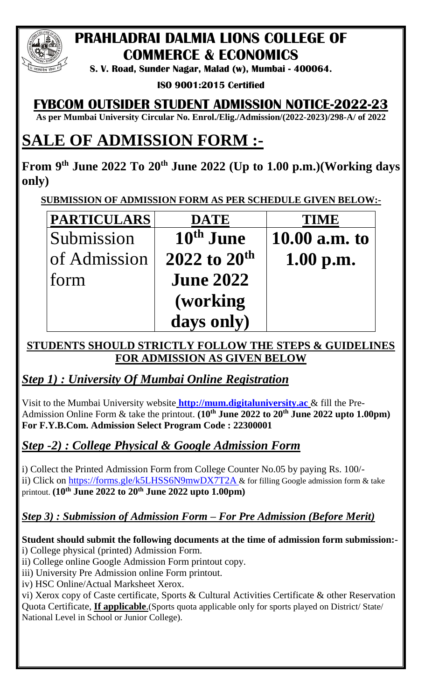

# **PRAHLADRAI DALMIA LIONS COLLEGE OF COMMERCE & ECONOMICS**

**S. V. Road, Sunder Nagar, Malad (w), Mumbai - 400064.**

**ISO 9001:2015 Certified** 

# **FYBCOM OUTSIDER STUDENT ADMISSION NOTICE-2022-23**

**As per Mumbai University Circular No. Enrol./Elig./Admission/(2022-2023)/298-A/ of 2022**

# **SALE OF ADMISSION FORM :-**

**From 9 th June 2022 To 20th June 2022 (Up to 1.00 p.m.)(Working days only)**

**SUBMISSION OF ADMISSION FORM AS PER SCHEDULE GIVEN BELOW:-**

| <b>PARTICULARS</b> | <b>DATE</b>              | <b>TIME</b>   |
|--------------------|--------------------------|---------------|
| Submission         | 10 <sup>th</sup> June    | 10.00 a.m. to |
| of Admission       | 2022 to 20 <sup>th</sup> | 1.00 p.m.     |
| form               | <b>June 2022</b>         |               |
|                    | (working)                |               |
|                    | days only)               |               |

#### **STUDENTS SHOULD STRICTLY FOLLOW THE STEPS & GUIDELINES FOR ADMISSION AS GIVEN BELOW**

## *Step 1) : University Of Mumbai Online Registration*

Visit to the Mumbai University website **[http://mum.digitaluniversity.ac](http://mum.digitaluniversity.ac/)** & fill the Pre-Admission Online Form & take the printout. **(10th June 2022 to 20th June 2022 upto 1.00pm) For F.Y.B.Com. Admission Select Program Code : 22300001** 

## *Step -2) : College Physical & Google Admission Form*

i) Collect the Printed Admission Form from College Counter No.05 by paying Rs. 100/ ii) Click on<https://forms.gle/k5LHSS6N9mwDX7T2A> & for filling Google admission form & take printout. **(10th June 2022 to 20th June 2022 upto 1.00pm)**

#### *Step 3) : Submission of Admission Form – For Pre Admission (Before Merit)*

**Student should submit the following documents at the time of admission form submission:** i) College physical (printed) Admission Form.

ii) College online Google Admission Form printout copy.

iii) University Pre Admission online Form printout.

iv) HSC Online/Actual Marksheet Xerox.

vi) Xerox copy of Caste certificate, Sports & Cultural Activities Certificate & other Reservation Quota Certificate, **If applicable**.(Sports quota applicable only for sports played on District/ State/ National Level in School or Junior College).